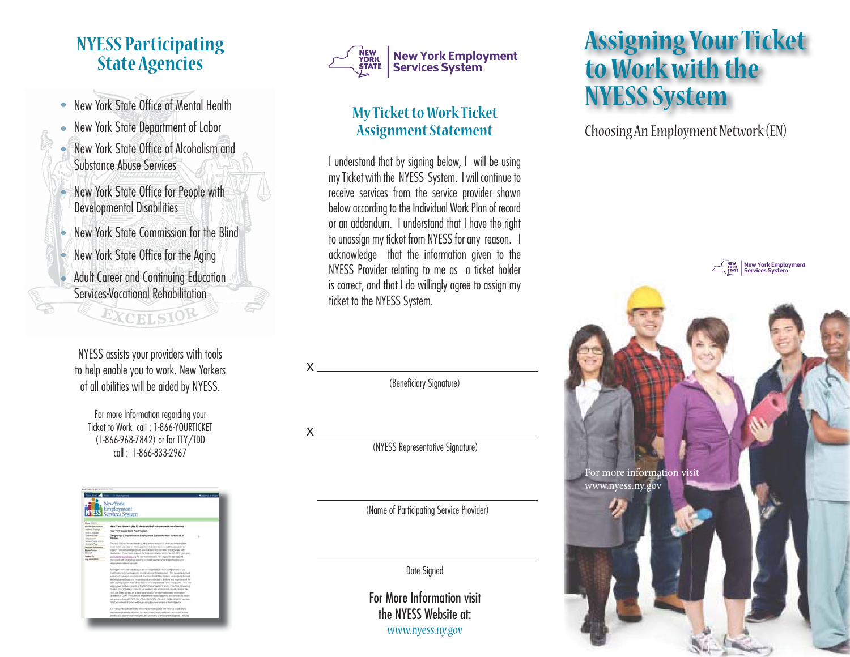#### **NYESS Participating State Agencies**

- New York State Office of Mental Health
- New York State Department of Labor
- $\bullet$  New York State Office of Alcoholism and Substance Abuse Services
- New York State Office for People with Developmental Disabilities l
- New York State Commission for the Blind
- New York State Office for the Aging
- Adult Career and Continuing Education Services-Vocational Rehabilitationl

EXCELSIOR

NYESS assists your providers with tools to help enable you to work. New Yorkers of all abilities will be aided by NYESS.

For more Information regarding your Ticket to Work call : 1-866-YOURTICKET (1-866-968-7842) or for TTY/TDD call : 1-866-833-2967





#### **My Ticket to Work Ticket Assignment Statement**

I understand that by signing below, I will be using my Ticket with the NYESS System. I will continue to receive services from the service provider shown below according to the Individual Work Plan of record or an addendum. I understand that I have the right to unassign my ticket from NYESS for any reason. I acknowledge that the information given to the NYESS Provider relating to me as a ticket holder is correct, and that I do willingly agree to assign my ticket to the NYESS System.



(Beneficiary Signature)

x

(NYESS Representative Signature)

(Name of Participating Service Provider)

Date Signed

For More Information visit the NYESS Website at:www.nyess.ny.gov

## **Assigning Your Ticket to Work with the NYESS System**

Choosing An Employment Network (EN)